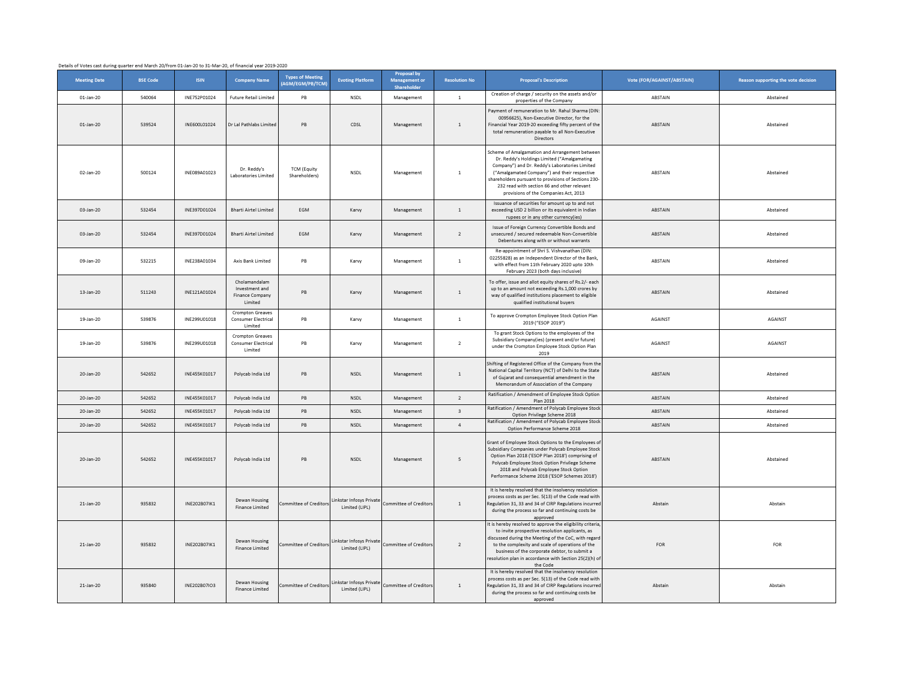Details of Votes cast during quarter end March 20/from 01-Jan-20 to 31-Mar-20, of financial year 2019-2020

| <b>Meeting Date</b> | <b>BSE Code</b> | <b>ISIN</b>  | <b>Company Name</b>                                                  | <b>Types of Meeting</b><br>(AGM/EGM/PB/TCM) | <b>Evoting Platform</b>                    | <b>Proposal by</b><br><b>Management or</b><br>Shareholder | <b>Resolution No</b>     | <b>Proposal's Description</b>                                                                                                                                                                                                                                                                                                                   | Vote (FOR/AGAINST/ABSTAIN) | Reason supporting the vote decision |
|---------------------|-----------------|--------------|----------------------------------------------------------------------|---------------------------------------------|--------------------------------------------|-----------------------------------------------------------|--------------------------|-------------------------------------------------------------------------------------------------------------------------------------------------------------------------------------------------------------------------------------------------------------------------------------------------------------------------------------------------|----------------------------|-------------------------------------|
| 01-Jan-20           | 540064          | INE752P01024 | <b>Future Retail Limited</b>                                         | PB                                          | <b>NSDL</b>                                | Management                                                | $\overline{1}$           | Creation of charge / security on the assets and/or<br>properties of the Company                                                                                                                                                                                                                                                                 | ABSTAIN                    | Abstained                           |
| $01 -$ Jan-20       | 539524          | INF600L01024 | Dr Lal Pathlabs Limite                                               | <b>PB</b>                                   | CDSL                                       | Management                                                | $\overline{1}$           | Payment of remuneration to Mr. Rahul Sharma (DIN<br>00956625), Non-Executive Director, for the<br>Financial Year 2019-20 exceeding fifty percent of the<br>total remuneration payable to all Non-Executive<br>Directors                                                                                                                         | ABSTAIN                    | Abstained                           |
| 02-Jan-20           | 500124          | INE089A01023 | Dr. Reddy's<br>Laboratories Limited                                  | <b>TCM (Equity</b><br>Shareholders)         | <b>NSDL</b>                                | Management                                                | $\overline{1}$           | Scheme of Amalgamation and Arrangement betweer<br>Dr. Reddy's Holdings Limited ("Amalgamating<br>Company") and Dr. Reddy's Laboratories Limited<br>("Amalgamated Company") and their respective<br>shareholders pursuant to provisions of Sections 230-<br>232 read with section 66 and other relevant<br>provisions of the Companies Act, 2013 | ABSTAIN                    | Abstained                           |
| 03-Jan-20           | 532454          | INE397D01024 | <b>Bharti Airtel Limited</b>                                         | <b>FGM</b>                                  | Karvy                                      | Management                                                | $\mathbf{1}$             | Issuance of securities for amount up to and not<br>exceeding USD 2 billion or its equivalent in Indian<br>rupees or in any other currency(ies)                                                                                                                                                                                                  | ABSTAIN                    | Abstained                           |
| 03-Jan-20           | 532454          | INF397D01024 | <b>Bharti Airtel Limited</b>                                         | EGM                                         | Karvy                                      | Management                                                | $\overline{2}$           | Issue of Foreign Currency Convertible Bonds and<br>unsecured / secured redeemable Non-Convertible<br>Debentures along with or without warrants                                                                                                                                                                                                  | ABSTAIN                    | Abstained                           |
| 09-Jan-20           | 532215          | INE238A01034 | Axis Bank Limited                                                    | PB                                          | Karvy                                      | Management                                                | $\mathbf{1}$             | Re-appointment of Shri S. Vishvanathan (DIN:<br>02255828) as an Independent Director of the Bank<br>with effect from 11th February 2020 upto 10th<br>February 2023 (both days inclusive)                                                                                                                                                        | ABSTAIN                    | Abstained                           |
| 13-Jan-20           | 511243          | INE121A01024 | Cholamandalam<br>Investment and<br><b>Finance Company</b><br>Limited | PB                                          | Karvy                                      | Management                                                | $1\,$                    | To offer, issue and allot equity shares of Rs.2/- each<br>up to an amount not exceeding Rs.1,000 crores by<br>way of qualified institutions placement to eligible<br>qualified institutional buyers                                                                                                                                             | ABSTAIN                    | Abstained                           |
| 19-Jan-20           | 539876          | INE299U01018 | <b>Crompton Greaves</b><br>Consumer Electrical<br>Limited            | $\mathsf{PB}$                               | Karvy                                      | Management                                                | $\overline{1}$           | To approve Crompton Employee Stock Option Plan<br>2019 ("ESOP 2019")                                                                                                                                                                                                                                                                            | AGAINST                    | AGAINST                             |
| 19-Jan-20           | 539876          | INF299U01018 | Crompton Greaves<br><b>Consumer Electrical</b><br><b>Limited</b>     | PB                                          | Karvy                                      | Management                                                | $\overline{2}$           | To grant Stock Options to the employees of the<br>Subsidiary Company(ies) (present and/or future)<br>under the Crompton Employee Stock Option Plan<br>2019                                                                                                                                                                                      | <b>AGAINST</b>             | AGAINST                             |
| 20-Jan-20           | 542652          | INE455K01017 | Polycab India Ltd                                                    | PB                                          | <b>NSDL</b>                                | Management                                                | $\mathbf{1}$             | Shifting of Registered Office of the Company from th<br>National Capital Territory (NCT) of Delhi to the State<br>of Gujarat and consequential amendment in the<br>Memorandum of Association of the Company                                                                                                                                     | ABSTAIN                    | Abstained                           |
| 20-Jan-20           | 542652          | INE455K01017 | Polycab India Ltd                                                    | PB                                          | NSDL                                       | Management                                                | $\overline{2}$           | Ratification / Amendment of Employee Stock Option<br>Plan 2018                                                                                                                                                                                                                                                                                  | ABSTAIN                    | Abstained                           |
| 20-Jan-20           | 542652          | INE455K01017 | Polycab India Ltd                                                    | <b>PB</b>                                   | <b>NSDL</b>                                | Management                                                | $\overline{\mathbf{3}}$  | Ratification / Amendment of Polycab Employee Stock<br>Option Privilege Scheme 2018                                                                                                                                                                                                                                                              | ABSTAIN                    | Abstained                           |
| $20 - Jan - 20$     | 542652          | INE455K01017 | Polycab India I td                                                   | PB                                          | <b>NSDL</b>                                | Management                                                | $\overline{4}$           | Ratification / Amendment of Polycab Employee Stock<br>Option Performance Scheme 2018                                                                                                                                                                                                                                                            | ABSTAIN                    | Abstained                           |
| $20 - Jan - 20$     | 542652          | INF455K01017 | Polycab India Ltd                                                    | <b>PB</b>                                   | <b>NSDI</b>                                | Management                                                | 5                        | Grant of Employee Stock Options to the Employees o<br>Subsidiary Companies under Polycab Employee Stock<br>Option Plan 2018 ('ESOP Plan 2018') comprising of<br>Polycab Employee Stock Option Privilege Scheme<br>2018 and Polycab Employee Stock Option<br>Performance Scheme 2018 ('ESOP Schemes 2018')                                       | <b>ABSTAIN</b>             | Abstained                           |
| 21-Jan-20           | 935832          | INE202B07IK1 | Dewan Housing<br>Finance Limited                                     | ommittee of Creditor:                       | Linkstar Infosys Private<br>Limited (LIPL) | Committee of Creditors                                    | $\mathbf{1}$             | It is hereby resolved that the insolvency resolution<br>process costs as per Sec. 5(13) of the Code read with<br>Regulation 31, 33 and 34 of CIRP Regulations incurred<br>during the process so far and continuing costs be<br>approved                                                                                                         | Abstain                    | Abstain                             |
| 21-Jan-20           | 935832          | INE202B07IK1 | Dewan Housing<br>Finance Limited                                     | ommittee of Creditors                       | Linkstar Infosys Private<br>Limited (LIPL) | Committee of Creditors                                    | $\overline{\phantom{a}}$ | It is hereby resolved to approve the eligibility criteria<br>to invite prospective resolution applicants, as<br>discussed during the Meeting of the CoC, with regard<br>to the complexity and scale of operations of the<br>business of the corporate debtor, to submit a<br>resolution plan in accordance with Section 25(2)(h) o<br>the Code  | FOR                        | FOR                                 |
| 21-Jan-20           | 935840          | INE202B07IO3 | Dewan Housing<br><b>Finance Limited</b>                              | ommittee of Creditors                       | Linkstar Infosys Private<br>Limited (LIPL) | Committee of Creditor                                     | $\overline{1}$           | It is hereby resolved that the insolvency resolution<br>process costs as per Sec. 5(13) of the Code read with<br>Regulation 31, 33 and 34 of CIRP Regulations incurre<br>during the process so far and continuing costs be<br>approved                                                                                                          | Abstain                    | Abstain                             |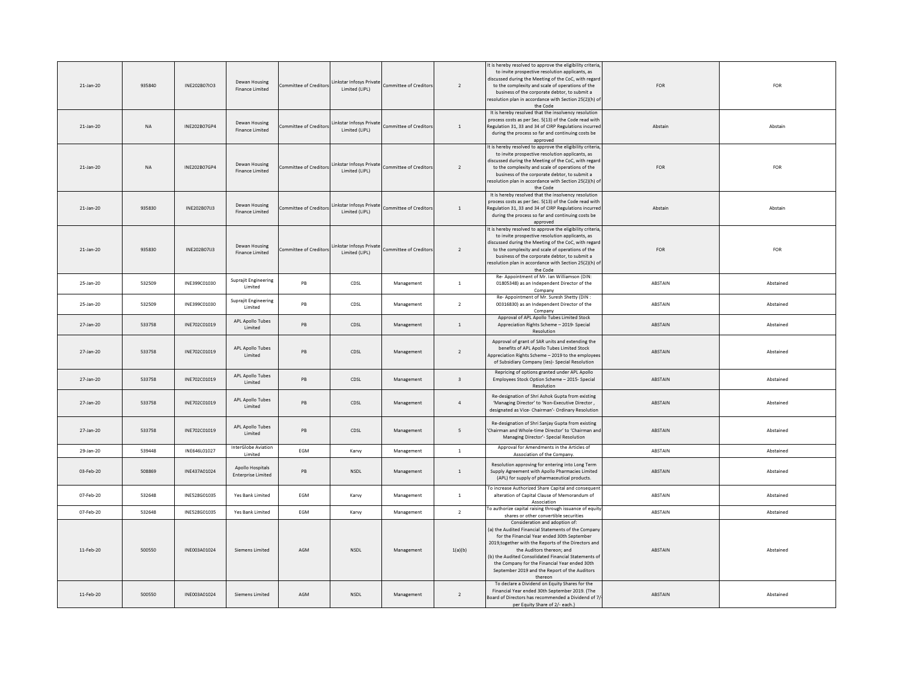| 21-Jan-20       | 935840    | INE202B07IO3 | Dewan Housing<br>Finance Limited              | ommittee of Creditor   | Linkstar Infosys Private<br>Limited (LIPL) | ommittee of Creditors         | $\overline{2}$          | It is hereby resolved to approve the eligibility criteria<br>to invite prospective resolution applicants, as<br>discussed during the Meeting of the CoC, with regan<br>to the complexity and scale of operations of the<br>business of the corporate debtor, to submit a<br>resolution plan in accordance with Section 25(2)(h) of<br>the Code                                                | FOR        | FOR        |
|-----------------|-----------|--------------|-----------------------------------------------|------------------------|--------------------------------------------|-------------------------------|-------------------------|-----------------------------------------------------------------------------------------------------------------------------------------------------------------------------------------------------------------------------------------------------------------------------------------------------------------------------------------------------------------------------------------------|------------|------------|
| $21 - Jan - 20$ | <b>NA</b> | INE202B07GP4 | Dewan Housing<br>Finance Limited              | Committee of Creditor  | Linkstar Infosys Private<br>Limited (LIPL) | Committee of Creditors        | $\overline{1}$          | It is hereby resolved that the insolvency resolution<br>process costs as per Sec. 5(13) of the Code read with<br>Regulation 31, 33 and 34 of CIRP Regulations incurred<br>during the process so far and continuing costs be<br>approved                                                                                                                                                       | Abstain    | Abstain    |
| 21-Jan-20       | <b>NA</b> | INE202B07GP4 | Dewan Housing<br><b>Finance Limited</b>       | Committee of Creditors | Linkstar Infosys Private<br>Limited (LIPL) | Committee of Creditors        | $\overline{2}$          | It is hereby resolved to approve the eligibility criteria,<br>to invite prospective resolution applicants, as<br>discussed during the Meeting of the CoC, with regard<br>to the complexity and scale of operations of the<br>business of the corporate debtor, to submit a<br>resolution plan in accordance with Section 25(2)(h) of<br>the Code                                              | <b>FOR</b> | <b>FOR</b> |
| 21-Jan-20       | 935830    | INE202B07IJ3 | Dewan Housing<br>Finance Limited              | Committee of Creditors | Linkstar Infosys Private<br>Limited (LIPL) | <b>Committee of Creditors</b> | $\overline{1}$          | It is hereby resolved that the insolvency resolution<br>process costs as per Sec. 5(13) of the Code read with<br>Regulation 31, 33 and 34 of CIRP Regulations incurred<br>during the process so far and continuing costs be<br>approved                                                                                                                                                       | Abstain    | Abstain    |
| $21 - Jan - 20$ | 935830    | INF202B07U3  | Dewan Housing<br>Finance Limited              | ommittee of Creditor   | Linkstar Infosys Private<br>Limited (LIPL) | ommittee of Creditor          | $\overline{2}$          | It is hereby resolved to approve the eligibility criteria<br>to invite prospective resolution applicants, as<br>discussed during the Meeting of the CoC, with regan<br>to the complexity and scale of operations of the<br>business of the corporate debtor, to submit a<br>resolution plan in accordance with Section 25(2)(h) of<br>the Code                                                | <b>FOR</b> | <b>FOR</b> |
| 25-Jan-20       | 532509    | INE399C01030 | Suprajit Engineering<br>Limited               | PB                     | CDSL                                       | Management                    | $\mathbf{1}$            | Re- Appointment of Mr. Ian Williamson (DIN:<br>01805348) as an Independent Director of the<br>Company                                                                                                                                                                                                                                                                                         | ABSTAIN    | Abstained  |
| 25-Jan-20       | 532509    | INE399C01030 | Suprajit Engineering<br><b>Limited</b>        | PB                     | CDSL                                       | Management                    | $\overline{2}$          | Re- Appointment of Mr. Suresh Shetty (DIN :<br>00316830) as an Independent Director of the<br>Company                                                                                                                                                                                                                                                                                         | ABSTAIN    | Abstained  |
| 27-Jan-20       | 533758    | INE702C01019 | APL Apollo Tubes<br><b>Limited</b>            | PB                     | CDSL                                       | Management                    | <sup>1</sup>            | Approval of APL Apollo Tubes Limited Stock<br>Appreciation Rights Scheme - 2019- Special<br>Resolution                                                                                                                                                                                                                                                                                        | ABSTAIN    | Abstained  |
| 27-Jan-20       | 533758    | INE702C01019 | APL Apollo Tubes<br><b>Limited</b>            | <b>PB</b>              | CDSL                                       | Management                    | $\overline{2}$          | Approval of grant of SAR units and extending the<br>benefits of APL Apollo Tubes Limited Stock<br>Appreciation Rights Scheme - 2019 to the employee<br>of Subsidiary Company (ies)- Special Resolution                                                                                                                                                                                        | ABSTAIN    | Abstained  |
| $27 - Jan - 20$ | 533758    | INF702C01019 | APL Apollo Tubes<br><b>Limited</b>            | PB                     | CDSL                                       | Management                    | $\overline{\mathbf{3}}$ | Repricing of options granted under APL Apollo<br>Employees Stock Option Scheme - 2015- Special<br>Resolution                                                                                                                                                                                                                                                                                  | ABSTAIN    | Abstained  |
| 27-Jan-20       | 533758    | INE702C01019 | APL Apollo Tubes<br><b>Limited</b>            | PB                     | CDSL                                       | Management                    | $\overline{4}$          | Re-designation of Shri Ashok Gupta from existing<br>'Managing Director' to 'Non-Executive Director,<br>designated as Vice- Chairman'- Ordinary Resolution                                                                                                                                                                                                                                     | ABSTAIN    | Abstained  |
| 27-Jan-20       | 533758    | INF702C01019 | APL Apollo Tubes<br><b>Limited</b>            | PB                     | CDSL                                       | Management                    | 5                       | Re-designation of Shri Sanjay Gupta from existing<br>'Chairman and Whole-time Director' to 'Chairman and<br>Managing Director'- Special Resolution                                                                                                                                                                                                                                            | ABSTAIN    | Abstained  |
| 29-Jan-20       | 539448    | INE646L01027 | InterGlobe Aviation<br>Limited                | EGM                    | Karvy                                      | Management                    | $\overline{1}$          | Approval for Amendments in the Articles of<br>Association of the Company.                                                                                                                                                                                                                                                                                                                     | ABSTAIN    | Abstained  |
| 03-Feb-20       | 508869    | INE437A01024 | Apollo Hospitals<br><b>Enterprise Limited</b> | PB                     | <b>NSDL</b>                                | Management                    | <sup>1</sup>            | Resolution approving for entering into Long Term<br>Supply Agreement with Apollo Pharmacies Limited<br>(APL) for supply of pharmaceutical products.                                                                                                                                                                                                                                           | ABSTAIN    | Abstained  |
| 07-Feb-20       | 532648    | INE528G01035 | Yes Bank Limited                              | EGM                    | Karvy                                      | Management                    | $\overline{1}$          | To increase Authorized Share Capital and consequent<br>alteration of Capital Clause of Memorandum of<br>Association                                                                                                                                                                                                                                                                           | ABSTAIN    | Abstained  |
| 07-Feb-20       | 532648    | INE528G01035 | Yes Bank Limited                              | EGM                    | Karvy                                      | Management                    | $\overline{2}$          | To authorize capital raising through issuance of equity<br>shares or other convertible securities                                                                                                                                                                                                                                                                                             | ABSTAIN    | Abstained  |
| 11-Feb-20       | 500550    | INE003A01024 | Siemens Limited                               | AGM                    | <b>NSDL</b>                                | Management                    | 1(a)(b)                 | Consideration and adoption of:<br>(a) the Audited Financial Statements of the Compan<br>for the Financial Year ended 30th September<br>2019, together with the Reports of the Directors and<br>the Auditors thereon; and<br>(b) the Audited Consolidated Financial Statements of<br>the Company for the Financial Year ended 30th<br>September 2019 and the Report of the Auditors<br>thereon | ABSTAIN    | Abstained  |
| 11-Feb-20       | 500550    | INE003A01024 | Siemens Limited                               | AGM                    | NSDL                                       | Management                    | $\overline{2}$          | To declare a Dividend on Equity Shares for the<br>Financial Year ended 30th September 2019, {The<br>Board of Directors has recommended a Dividend of 7<br>per Equity Share of 2/- each.}                                                                                                                                                                                                      | ABSTAIN    | Abstained  |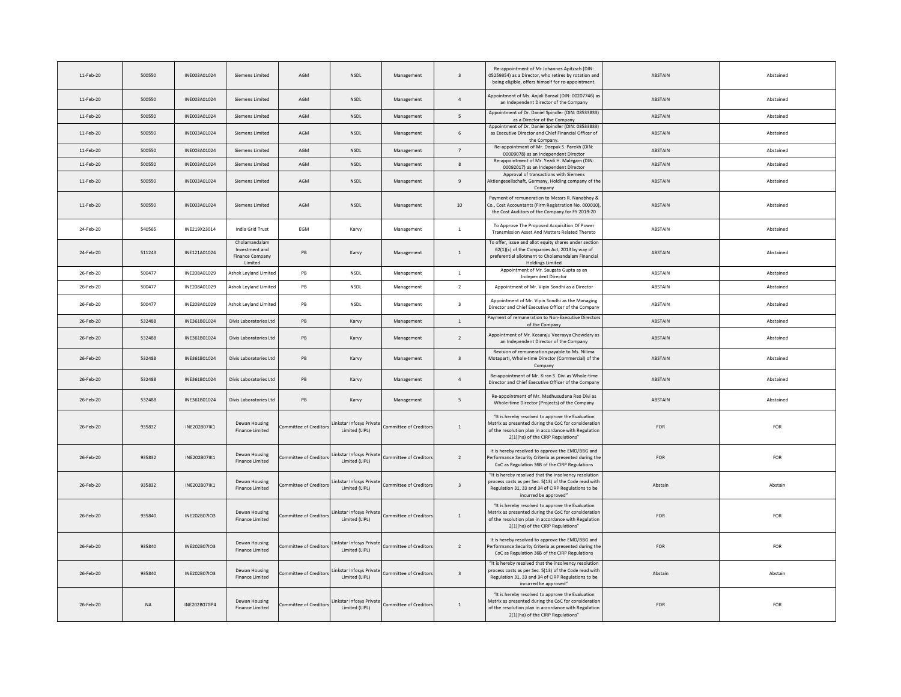| 11-Feb-20 | 500550    | INF003A01024 | Siemens Limited                                               | AGM                    | <b>NSDI</b>                                | Management             | $\overline{\mathbf{3}}$ | Re-appointment of Mr.Johannes Apitzsch (DIN:<br>05259354) as a Director, who retires by rotation and<br>being eligible, offers himself for re-appointment.                                            | <b>ABSTAIN</b> | Abstained  |
|-----------|-----------|--------------|---------------------------------------------------------------|------------------------|--------------------------------------------|------------------------|-------------------------|-------------------------------------------------------------------------------------------------------------------------------------------------------------------------------------------------------|----------------|------------|
| 11-Feb-20 | 500550    | INE003A01024 | Siemens Limited                                               | AGM                    | NSDL                                       | Management             | $\overline{4}$          | Appointment of Ms. Aniali Bansal (DIN: 00207746) as<br>an Independent Director of the Company                                                                                                         | ABSTAIN        | Abstained  |
| 11-Feb-20 | 500550    | INE003A01024 | Siemens Limited                                               | AGM                    | NSDL                                       | Management             | 5                       | Appointment of Dr. Daniel Spindler (DIN: 08533833)<br>as a Director of the Company                                                                                                                    | ABSTAIN        | Abstained  |
| 11-Feb-20 | 500550    | INF003A01024 | Siemens Limited                                               | AGM                    | <b>NSDI</b>                                | Management             | 6                       | Appointment of Dr. Daniel Spindler (DIN: 08533833)<br>as Executive Director and Chief Financial Officer of<br>the Company.                                                                            | ABSTAIN        | Abstained  |
| 11-Feb-20 | 500550    | INE003A01024 | Siemens Limited                                               | AGM                    | <b>NSDL</b>                                | Management             | $\overline{7}$          | Re-appointment of Mr. Deepak S. Parekh (DIN:<br>00009078) as an Independent Director                                                                                                                  | ABSTAIN        | Abstained  |
| 11-Feb-20 | 500550    | INE003A01024 | Siemens Limited                                               | AGM                    | NSDL                                       | Management             | $\boldsymbol{8}$        | Re-appointment of Mr. Yezdi H. Malegam (DIN:<br>00092017) as an Independent Director                                                                                                                  | ABSTAIN        | Abstained  |
| 11-Feb-20 | 500550    | INE003A01024 | Siemens Limited                                               | AGM                    | <b>NSDL</b>                                | Management             | $\overline{9}$          | Approval of transactions with Siemens<br>Aktiengesellschaft, Germany, Holding company of the<br>Company                                                                                               | ABSTAIN        | Abstained  |
| 11-Feb-20 | 500550    | INE003A01024 | Siemens Limited                                               | AGM                    | <b>NSDL</b>                                | Management             | 10                      | Payment of remuneration to Messrs R. Nanabhoy &<br>Co., Cost Accountants (Firm Registration No. 000010)<br>the Cost Auditors of the Company for FY 2019-20                                            | ABSTAIN        | Abstained  |
| 24-Feb-20 | 540565    | INF219X23014 | India Grid Trust                                              | FGM                    | Karvy                                      | Management             | $\mathbf{1}$            | To Approve The Proposed Acquisition Of Power<br>Transmission Asset And Matters Related Thereto                                                                                                        | <b>ABSTAIN</b> | Abstained  |
| 24-Feb-20 | 511243    | INE121A01024 | Cholamandalam<br>Investment and<br>Finance Company<br>Limited | PB                     | Karvy                                      | Management             | $\,$ 1 $\,$             | To offer, issue and allot equity shares under section<br>62(1)(c) of the Companies Act, 2013 by way of<br>preferential allotment to Cholamandalam Financial<br><b>Holdings Limited</b>                | ABSTAIN        | Abstained  |
| 26-Feb-20 | 500477    | INE208A01029 | Ashok Leyland Limited                                         | PB                     | NSDL                                       | Management             | $\,$ 1 $\,$             | Appointment of Mr. Saugata Gupta as an<br>Independent Director                                                                                                                                        | ABSTAIN        | Abstained  |
| 26-Feb-20 | 500477    | INF208A01029 | <b>Ashok Levland Limiter</b>                                  | <b>PB</b>              | <b>NSDI</b>                                | Management             | $\overline{2}$          | Appointment of Mr. Vipin Sondhi as a Director                                                                                                                                                         | <b>ABSTAIN</b> | Abstained  |
| 26-Feb-20 | 500477    | INF208A01029 | Ashok Leyland Limited                                         | <b>PB</b>              | <b>NSDI</b>                                | Management             | $\overline{\mathbf{3}}$ | Appointment of Mr. Vipin Sondhi as the Managing<br>Director and Chief Executive Officer of the Company                                                                                                | <b>ABSTAIN</b> | Abstained  |
| 26-Feb-20 | 532488    | INE361B01024 | Divis Laboratories Ltd                                        | PB                     | Karvy                                      | Management             | $\mathbf{1}$            | Payment of remuneration to Non-Executive Directors<br>of the Company                                                                                                                                  | ABSTAIN        | Abstained  |
| 26-Feb-20 | 532488    | INE361B01024 | Divis Laboratories Ltd                                        | PB                     | Karvy                                      | Management             | $\overline{2}$          | Appointment of Mr. Kosaraju Veerayya Chowdary as<br>an Independent Director of the Company                                                                                                            | ABSTAIN        | Abstained  |
| 26-Feb-20 | 532488    | INE361B01024 | Divis Laboratories Ltd                                        | PB                     | Karvy                                      | Management             | $\overline{\mathbf{3}}$ | Revision of remuneration payable to Ms. Nilima<br>Motaparti, Whole-time Director (Commercial) of the<br>Company                                                                                       | ABSTAIN        | Abstained  |
| 26-Feb-20 | 532488    | INE361B01024 | Divis Laboratories Ltd                                        | <b>PB</b>              | Karvy                                      | Management             | $\overline{4}$          | Re-appointment of Mr. Kiran S. Divi as Whole-time<br>Director and Chief Executive Officer of the Company                                                                                              | ABSTAIN        | Abstained  |
| 26-Feb-20 | 532488    | INE361B01024 | Divis Laboratories Ltd                                        | <b>PB</b>              | Karvy                                      | Management             | $\overline{5}$          | Re-appointment of Mr. Madhusudana Rao Divi as<br>Whole-time Director (Projects) of the Company                                                                                                        | ABSTAIN        | Abstained  |
| 26-Feb-20 | 935832    | INE202B07IK1 | Dewan Housing<br>Finance Limited                              | ommittee of Creditor   | inkstar Infosys Private<br>Limited (LIPL)  | Committee of Creditor  | $\mathbf{1}$            | "It is hereby resolved to approve the Evaluation<br>Matrix as presented during the CoC for consideration<br>of the resolution plan in accordance with Regulation<br>2(1)(ha) of the CIRP Regulations" | FOR            | FOR        |
| 26-Feb-20 | 935832    | INF202B07IK1 | Dewan Housing<br>Finance Limited                              | Committee of Creditor  | inkstar Infosys Private<br>Limited (LIPL)  | Committee of Creditor  | $\overline{2}$          | It is hereby resolved to approve the EMD/BBG and<br>Performance Security Criteria as presented during the<br>CoC as Regulation 36B of the CIRP Regulations                                            | <b>FOR</b>     | <b>FOR</b> |
| 26-Feb-20 | 935832    | INE202B07IK1 | Dewan Housing<br>Finance Limited                              | ommittee of Creditors  | Linkstar Infosys Private<br>Limited (LIPL) | Committee of Creditor: | $\overline{\mathbf{3}}$ | "It is hereby resolved that the insolvency resolution<br>process costs as per Sec. 5(13) of the Code read with<br>Regulation 31, 33 and 34 of CIRP Regulations to be<br>incurred be approved"         | Abstain        | Abstain    |
| 26-Feb-20 | 935840    | INF202B07IO3 | Dewan Housing<br>Finance Limited                              | ommittee of Creditor   | inkstar Infosys Private<br>Limited (LIPL)  | Committee of Creditor  | $\mathbf{1}$            | "It is hereby resolved to approve the Evaluation<br>Matrix as presented during the CoC for consideratio<br>of the resolution plan in accordance with Regulation<br>2(1)(ha) of the CIRP Regulations"  | FOR            | FOR        |
| 26-Feb-20 | 935840    | INE202B07IO3 | Dewan Housing<br>Finance Limited                              | mmittee of Creditor    | inkstar Infosys Private<br>Limited (LIPL)  | Committee of Creditor  | $\overline{2}$          | It is hereby resolved to approve the EMD/BBG and<br>erformance Security Criteria as presented during the<br>CoC as Regulation 36B of the CIRP Regulations                                             | <b>FOR</b>     | FOR        |
| 26-Feb-20 | 935840    | INE202B07IO3 | Dewan Housing<br>Finance Limited                              | Committee of Creditors | Linkstar Infosys Private<br>Limited (LIPL) | Committee of Creditor  | $\overline{\mathbf{3}}$ | "It is hereby resolved that the insolvency resolution<br>process costs as per Sec. 5(13) of the Code read with<br>Regulation 31, 33 and 34 of CIRP Regulations to be<br>incurred be approved"         | Abstain        | Abstain    |
| 26-Feb-20 | <b>NA</b> | INE202B07GP4 | Dewan Housing<br><b>Finance Limited</b>                       | ommittee of Creditors  | Linkstar Infosys Private<br>Limited (LIPL) | Committee of Creditor: | $\overline{1}$          | "It is hereby resolved to approve the Evaluation<br>Matrix as presented during the CoC for consideration<br>of the resolution plan in accordance with Regulation<br>2(1)(ha) of the CIRP Regulations" | <b>FOR</b>     | FOR        |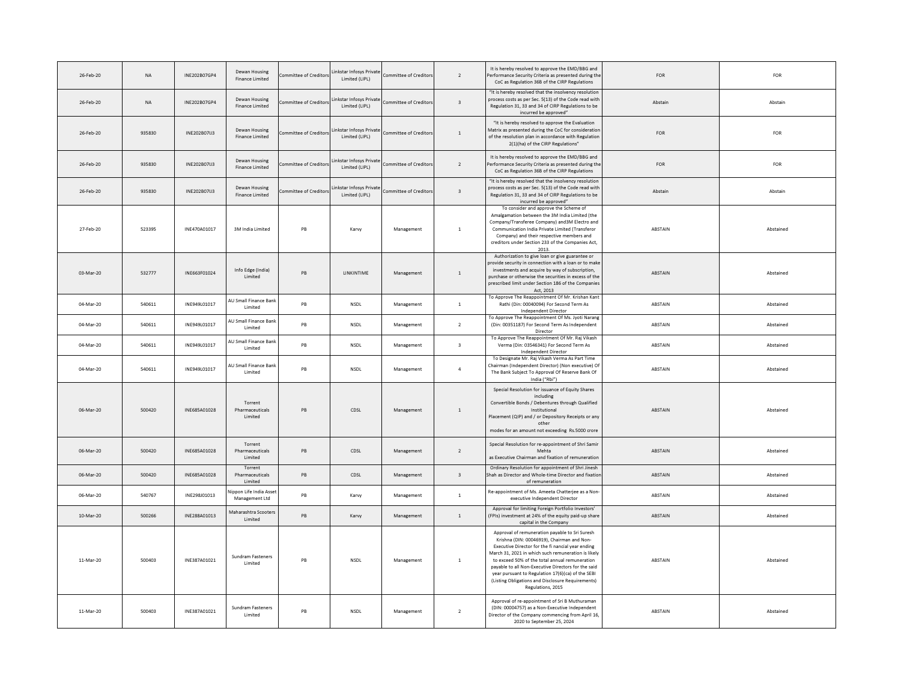| 26-Feb-20 | $_{\sf NA}$ | INE202B07GP4 | Dewan Housing<br><b>Finance Limited</b>  | ommittee of Creditor   | inkstar Infosys Private<br>Limited (LIPL)  | Committee of Creditor         | $\overline{2}$          | It is hereby resolved to approve the EMD/BBG and<br>Performance Security Criteria as presented during th<br>CoC as Regulation 36B of the CIRP Regulations                                                                                                                                                                                                                                                                                        | ${\sf FOR}$    | FOR       |
|-----------|-------------|--------------|------------------------------------------|------------------------|--------------------------------------------|-------------------------------|-------------------------|--------------------------------------------------------------------------------------------------------------------------------------------------------------------------------------------------------------------------------------------------------------------------------------------------------------------------------------------------------------------------------------------------------------------------------------------------|----------------|-----------|
| 26-Feb-20 | NA          | INE202B07GP4 | Dewan Housing<br>Finance Limited         | Committee of Creditors | Linkstar Infosys Private<br>Limited (LIPL) | Committee of Creditors        | $\overline{\mathbf{3}}$ | "It is hereby resolved that the insolvency resolutior<br>process costs as per Sec. 5(13) of the Code read with<br>Regulation 31, 33 and 34 of CIRP Regulations to be<br>incurred be approved"                                                                                                                                                                                                                                                    | Abstain        | Abstain   |
| 26-Feb-20 | 935830      | INF202B07U3  | Dewan Housing<br><b>Finance Limited</b>  | ommittee of Creditors  | Linkstar Infosys Private<br>Limited (LIPL) | <b>Committee of Creditors</b> | $\,$ 1                  | "It is hereby resolved to approve the Evaluation<br>Matrix as presented during the CoC for consideration<br>of the resolution plan in accordance with Regulation<br>2(1)(ha) of the CIRP Regulations"                                                                                                                                                                                                                                            | <b>FOR</b>     | FOR       |
| 26-Feb-20 | 935830      | INE202B07IJ3 | Dewan Housing<br><b>Finance Limited</b>  | Committee of Creditors | Linkstar Infosys Private<br>Limited (LIPL) | Committee of Creditor:        | $\overline{2}$          | It is hereby resolved to approve the EMD/BBG and<br>Performance Security Criteria as presented during the<br>CoC as Regulation 36B of the CIRP Regulations                                                                                                                                                                                                                                                                                       | FOR            | FOR       |
| 26-Feb-20 | 935830      | INE202B07IJ3 | Dewan Housing<br>Finance Limited         | ommittee of Creditors  | Linkstar Infosys Private<br>Limited (LIPL) | Committee of Creditors        | $\mathsf 3$             | "It is hereby resolved that the insolvency resolution<br>process costs as per Sec. 5(13) of the Code read with<br>Regulation 31, 33 and 34 of CIRP Regulations to be<br>incurred be approved"                                                                                                                                                                                                                                                    | Abstain        | Abstain   |
| 27-Feb-20 | 523395      | INE470A01017 | 3M India Limited                         | PB                     | Karvy                                      | Management                    | $\,$ 1                  | To consider and approve the Scheme of<br>Amalgamation between the 3M India Limited (the<br>Company/Transferee Company) and 3M Electro and<br>Communication India Private Limited (Transferor<br>Company) and their respective members and<br>creditors under Section 233 of the Companies Act,<br>2013.                                                                                                                                          | ABSTAIN        | Abstained |
| 03-Mar-20 | 532777      | INE663F01024 | Info Edge (India)<br>Limited             | <b>PB</b>              | LINKINTIME                                 | Management                    | $\overline{1}$          | Authorization to give loan or give guarantee or<br>provide security in connection with a loan or to make<br>investments and acquire by way of subscription.<br>purchase or otherwise the securities in excess of the<br>prescribed limit under Section 186 of the Companies<br>Act. 2013                                                                                                                                                         | <b>ABSTAIN</b> | Abstained |
| 04-Mar-20 | 540611      | INF949101017 | AU Small Finance Ban<br>Limited          | <b>PR</b>              | <b>NSDI</b>                                | Management                    | <sup>1</sup>            | To Approve The Reappointment Of Mr. Krishan Kant<br>Rathi (Din: 00040094) For Second Term As<br>Independent Director                                                                                                                                                                                                                                                                                                                             | <b>ABSTAIN</b> | Abstained |
| 04-Mar-20 | 540611      | INE949L01017 | AU Small Finance Ban<br>Limited          | PB                     | <b>NSDI</b>                                | Management                    | $\overline{2}$          | To Approve The Reappointment Of Ms. Jyoti Narang<br>(Din: 00351187) For Second Term As Independent<br>Director                                                                                                                                                                                                                                                                                                                                   | <b>ABSTAIN</b> | Abstained |
| 04-Mar-20 | 540611      | INE949L01017 | AU Small Finance Bank<br>Limited         | PB                     | NSDL                                       | Management                    | $\overline{\mathbf{3}}$ | To Approve The Reappointment Of Mr. Raj Vikash<br>Verma (Din: 03546341) For Second Term As<br>Independent Director                                                                                                                                                                                                                                                                                                                               | ABSTAIN        | Abstained |
| 04-Mar-20 | 540611      | INE949L01017 | AU Small Finance Bank<br><b>Limited</b>  | PB                     | <b>NSDL</b>                                | Management                    | $\overline{4}$          | To Designate Mr. Raj Vikash Verma As Part Time<br>Chairman (Independent Director) (Non executive) Of<br>The Bank Subject To Approval Of Reserve Bank Of<br>India ("Rbi")                                                                                                                                                                                                                                                                         | ABSTAIN        | Abstained |
| 06-Mar-20 | 500420      | INF685A01028 | Torrent<br>Pharmaceuticals<br>Limited    | <b>PB</b>              | CDSL                                       | Management                    | 1                       | Special Resolution for issuance of Equity Shares<br>including<br>Convertible Bonds / Debentures through Qualified<br>Institutional<br>Placement (QIP) and / or Depository Receipts or any<br>other<br>modes for an amount not exceeding Rs.5000 crore                                                                                                                                                                                            | <b>ABSTAIN</b> | Abstained |
| 06-Mar-20 | 500420      | INE685A01028 | Torrent<br>Pharmaceuticals<br>Limited    | PB                     | CDSL                                       | Management                    | $\overline{2}$          | Special Resolution for re-appointment of Shri Samir<br>Mehta<br>as Executive Chairman and fixation of remuneration                                                                                                                                                                                                                                                                                                                               | ABSTAIN        | Abstained |
| 06-Mar-20 | 500420      | INF685A01028 | Torrent<br>Pharmaceuticals<br>Limited    | <b>PB</b>              | CDSL                                       | Management                    | $\overline{\mathbf{3}}$ | Ordinary Resolution for appointment of Shri Jinesh<br>Shah as Director and Whole-time Director and fixatio<br>of remuneration                                                                                                                                                                                                                                                                                                                    | ABSTAIN        | Abstained |
| 06-Mar-20 | 540767      | INE298J01013 | Vippon Life India Asse<br>Management Ltd | PB                     | Karvy                                      | Management                    | $\overline{1}$          | Re-appointment of Ms. Ameeta Chatterjee as a Non<br>executive Independent Director                                                                                                                                                                                                                                                                                                                                                               | <b>ABSTAIN</b> | Abstained |
| 10-Mar-20 | 500266      | INE288A01013 | Maharashtra Scooters<br>Limited          | PB                     | Karvy                                      | Management                    | 1                       | Approval for limiting Foreign Portfolio Investors'<br>(FPIs) investment at 24% of the equity paid-up share<br>capital in the Company                                                                                                                                                                                                                                                                                                             | ABSTAIN        | Abstained |
| 11-Mar-20 | 500403      | INE387A01021 | Sundram Fasteners<br>Limited             | PB                     | <b>NSDL</b>                                | Management                    | $\,$ 1                  | Approval of remuneration payable to Sri Suresh<br>Krishna (DIN: 00046919), Chairman and Non-<br>Executive Director for the fi nancial vear ending<br>March 31, 2021 in which such remuneration is likely<br>to exceed 50% of the total annual remuneration<br>payable to all Non-Executive Directors for the said<br>year pursuant to Regulation 17(6)(ca) of the SEBI<br>(Listing Obligations and Disclosure Requirements)<br>Regulations, 2015 | ABSTAIN        | Abstained |
| 11-Mar-20 | 500403      | INE387A01021 | Sundram Fasteners<br><b>Limited</b>      | PB                     | <b>NSDL</b>                                | Management                    | $\overline{2}$          | Approval of re-appointment of Sri B Muthuraman<br>(DIN: 00004757) as a Non-Executive Independent<br>Director of the Company commencing from April 16<br>2020 to September 25, 2024                                                                                                                                                                                                                                                               | ABSTAIN        | Abstained |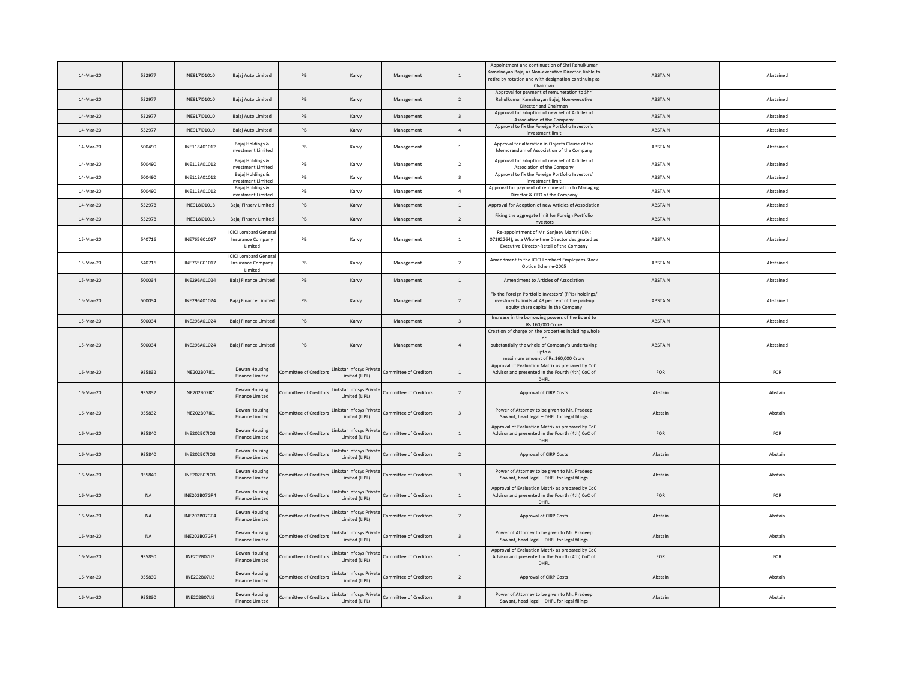| 14-Mar-20 | 532977    | INF917I01010 | Bajaj Auto Limited                                                 | PB                            | Karvy                                      | Management             | <sup>1</sup>             | Appointment and continuation of Shri Rahulkumar<br>Kamalnayan Bajaj as Non-executive Director, liable to<br>retire by rotation and with designation continuing as<br>Chairman | ABSTAIN        | Abstained  |
|-----------|-----------|--------------|--------------------------------------------------------------------|-------------------------------|--------------------------------------------|------------------------|--------------------------|-------------------------------------------------------------------------------------------------------------------------------------------------------------------------------|----------------|------------|
| 14-Mar-20 | 532977    | INE917I01010 | Bajaj Auto Limited                                                 | PB                            | Karvy                                      | Management             | $\overline{\phantom{a}}$ | Approval for payment of remuneration to Shri<br>Rahulkumar Kamalnayan Bajaj, Non-executive<br>Director and Chairman                                                           | ABSTAIN        | Abstained  |
| 14-Mar-20 | 532977    | INE917I01010 | Bajaj Auto Limited                                                 | PB                            | Karvy                                      | Management             | $\overline{\mathbf{3}}$  | Approval for adoption of new set of Articles of<br>Association of the Company                                                                                                 | ABSTAIN        | Abstained  |
| 14-Mar-20 | 532977    | INF917I01010 | Baiai Auto Limited                                                 | <b>PB</b>                     | Karvy                                      | Management             | $\overline{4}$           | Approval to fix the Foreign Portfolio Investor's<br>investment limit                                                                                                          | <b>ABSTAIN</b> | Abstained  |
| 14-Mar-20 | 500490    | INE118A01012 | Bajaj Holdings &<br>Investment Limited                             | PB                            | Karvy                                      | Management             | $\mathbf{1}$             | Approval for alteration in Objects Clause of the<br>Memorandum of Association of the Company                                                                                  | ABSTAIN        | Abstained  |
| 14-Mar-20 | 500490    | INE118A01012 | Bajaj Holdings &<br><b>Investment Limited</b>                      | PB                            | Karvy                                      | Management             | $\overline{2}$           | Approval for adoption of new set of Articles of<br>Association of the Company                                                                                                 | ABSTAIN        | Abstained  |
| 14-Mar-20 | 500490    | INF118A01012 | Bajaj Holdings &<br>Investment Limited                             | <b>PR</b>                     | Karvy                                      | Management             | $\ddot{ }$               | Approval to fix the Foreign Portfolio Investors'<br>investment limit                                                                                                          | <b>ABSTAIN</b> | Abstained  |
| 14-Mar-20 | 500490    | INE118A01012 | Bajaj Holdings &<br><b>Investment Limited</b>                      | PB                            | Karvy                                      | Management             | $\overline{4}$           | Approval for payment of remuneration to Managing<br>Director & CEO of the Company                                                                                             | ABSTAIN        | Abstained  |
| 14-Mar-20 | 532978    | INF918I01018 | Bajai Finsery Limited                                              | <b>PB</b>                     | Karvy                                      | Management             | $\overline{1}$           | Approval for Adoption of new Articles of Association                                                                                                                          | <b>ABSTAIN</b> | Abstained  |
| 14-Mar-20 | 532978    | INE918I01018 | Bajaj Finserv Limited                                              | PB                            | Karvy                                      | Management             | $\overline{2}$           | Fixing the aggregate limit for Foreign Portfolio<br>Investors                                                                                                                 | ABSTAIN        | Abstained  |
| 15-Mar-20 | 540716    | INE765G01017 | <b>ICICLI ombard Genera</b><br><b>Insurance Company</b><br>Limited | <b>PB</b>                     | Karvy                                      | Management             | $\mathbf{1}$             | Re-appointment of Mr. Sanjeev Mantri (DIN:<br>07192264), as a Whole-time Director designated as<br>Executive Director-Retail of the Company                                   | ABSTAIN        | Abstained  |
| 15-Mar-20 | 540716    | INE765G01017 | <b>ICICI Lombard Genera</b><br><b>Insurance Company</b><br>Limited | PB                            | Karvy                                      | Management             | $\overline{2}$           | Amendment to the ICICI Lombard Employees Stock<br>Option Scheme-2005                                                                                                          | ABSTAIN        | Abstained  |
| 15-Mar-20 | 500034    | INE296A01024 | Bajaj Finance Limited                                              | <b>PB</b>                     | Karvy                                      | Management             | $\overline{1}$           | Amendment to Articles of Association                                                                                                                                          | ABSTAIN        | Abstained  |
| 15-Mar-20 | 500034    | INE296A01024 | Bajaj Finance Limited                                              | PB                            | Karvy                                      | Management             | $\overline{2}$           | Fix the Foreign Portfolio Investors' (FPIs) holdings/<br>investments limits at 49 per cent of the paid-up<br>equity share capital in the Company                              | ABSTAIN        | Abstained  |
| 15-Mar-20 | 500034    | INE296A01024 | Bajaj Finance Limited                                              | PB                            | Karvy                                      | Management             | $\overline{\mathbf{3}}$  | Increase in the borrowing powers of the Board to<br>Rs.160,000 Crore                                                                                                          | ABSTAIN        | Abstained  |
| 15-Mar-20 | 500034    | INE296A01024 | Bajaj Finance Limited                                              | PB                            | Karvy                                      | Management             | $\overline{4}$           | Creation of charge on the properties including whole<br>or<br>substantially the whole of Company's undertaking<br>upto a<br>maximum amount of Rs.160,000 Crore                | ABSTAIN        | Abstained  |
| 16-Mar-20 | 935832    | INE202B07IK1 | Dewan Housing<br>Finance Limited                                   | <b>Committee of Creditors</b> | Linkstar Infosys Private<br>Limited (LIPL) | Committee of Creditor  | $1\,$                    | Approval of Evaluation Matrix as prepared by CoC<br>Advisor and presented in the Fourth (4th) CoC of<br>DHFL                                                                  | FOR            | <b>FOR</b> |
| 16-Mar-20 | 935832    | INE202B07IK1 | Dewan Housing<br>Finance Limited                                   | ommittee of Creditor          | inkstar Infosys Private<br>Limited (LIPL)  | ommittee of Creditors  | $\overline{2}$           | Approval of CIRP Costs                                                                                                                                                        | Abstain        | Abstain    |
| 16-Mar-20 | 935832    | INE202B07IK1 | Dewan Housing<br>Finance Limited                                   | ommittee of Creditor          | Linkstar Infosys Private<br>Limited (LIPL) | Committee of Creditor  | $\overline{\mathbf{3}}$  | Power of Attorney to be given to Mr. Pradeep<br>Sawant, head legal - DHFL for legal filings                                                                                   | Abstain        | Abstain    |
| 16-Mar-20 | 935840    | INF202B07IO3 | Dewan Housing<br><b>Finance Limited</b>                            | Committee of Creditor         | inkstar Infosys Private<br>Limited (LIPL)  | Committee of Creditor  | $\overline{1}$           | Approval of Evaluation Matrix as prepared by CoC<br>Advisor and presented in the Fourth (4th) CoC of<br>DHFL                                                                  | <b>FOR</b>     | FOR        |
| 16-Mar-20 | 935840    | INF202B07IO3 | Dewan Housing<br><b>Finance Limited</b>                            | ommittee of Creditor:         | Inkstar Infosys Private<br>Limited (LIPL)  | Committee of Creditor  | $\overline{\phantom{a}}$ | Approval of CIRP Costs                                                                                                                                                        | Abstain        | Abstain    |
| 16-Mar-20 | 935840    | INE202B07IO3 | Dewan Housing<br>Finance Limited                                   | ommittee of Creditor:         | Linkstar Infosys Private<br>Limited (LIPL) | Committee of Creditor  | $_{3}$                   | Power of Attorney to be given to Mr. Pradeep<br>Sawant, head legal - DHFL for legal filings                                                                                   | Abstain        | Abstain    |
| 16-Mar-20 | NA        | INE202B07GP4 | Dewan Housing<br>Finance Limited                                   | ommittee of Creditor          | inkstar Infosys Private<br>Limited (LIPL)  | ommittee of Creditors  | $\overline{1}$           | Approval of Evaluation Matrix as prepared by CoC<br>Advisor and presented in the Fourth (4th) CoC of<br>DHFL                                                                  | <b>FOR</b>     | FOR        |
| 16-Mar-20 | NA        | INE202B07GP4 | Dewan Housing<br><b>Finance Limited</b>                            | ommittee of Creditor          | Linkstar Infosys Private<br>Limited (LIPL) | Committee of Creditors | $\overline{z}$           | Approval of CIRP Costs                                                                                                                                                        | Abstain        | Abstain    |
| 16-Mar-20 | <b>NA</b> | INE202B07GP4 | Dewan Housing<br>Finance Limited                                   | Committee of Creditor         | inkstar Infosys Private<br>Limited (LIPL)  | Committee of Creditor  | $\mathbf{3}$             | Power of Attorney to be given to Mr. Pradeep<br>Sawant, head legal - DHFL for legal filings                                                                                   | Abstain        | Abstain    |
| 16-Mar-20 | 935830    | INE202B07IJ3 | Dewan Housing<br><b>Finance Limited</b>                            | ommittee of Creditor:         | Inkstar Infosys Private<br>Limited (LIPL)  | Committee of Creditor  | $\mathbf{1}$             | Approval of Evaluation Matrix as prepared by CoC<br>Advisor and presented in the Fourth (4th) CoC of<br>DHFL                                                                  | <b>FOR</b>     | FOR        |
| 16-Mar-20 | 935830    | INE202B07IJ3 | Dewan Housing<br><b>Finance Limited</b>                            | ommittee of Creditor:         | Inkstar Infosys Private<br>Limited (LIPL)  | Committee of Creditors | $\overline{2}$           | Approval of CIRP Costs                                                                                                                                                        | Abstain        | Abstain    |
| 16-Mar-20 | 935830    | INE202B07IJ3 | Dewan Housing<br>Finance Limited                                   | ommittee of Creditor:         | Inkstar Infosys Private<br>Limited (LIPL)  | Committee of Creditors | $\overline{3}$           | Power of Attorney to be given to Mr. Pradeep<br>Sawant, head legal - DHFL for legal filings                                                                                   | Abstain        | Abstain    |